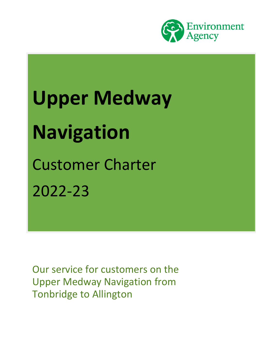

# **Upper Medway Navigation** Customer Charter 2022-23

Our service for customers on the Upper Medway Navigation from Tonbridge to Allington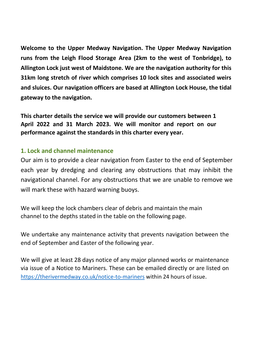**Welcome to the Upper Medway Navigation. The Upper Medway Navigation runs from the Leigh Flood Storage Area (2km to the west of Tonbridge), to Allington Lock just west of Maidstone. We are the navigation authority for this 31km long stretch of river which comprises 10 lock sites and associated weirs and sluices. Our navigation officers are based at Allington Lock House, the tidal gateway to the navigation.**

**This charter details the service we will provide our customers between 1 April 2022 and 31 March 2023. We will monitor and report on our performance against the standards in this charter every year.**

#### **1. Lock and channel maintenance**

Our aim is to provide a clear navigation from Easter to the end of September each year by dredging and clearing any obstructions that may inhibit the navigational channel. For any obstructions that we are unable to remove we will mark these with hazard warning buoys.

We will keep the lock chambers clear of debris and maintain the main channel to the depths stated in the table on the following page.

We undertake any maintenance activity that prevents navigation between the end of September and Easter of the following year.

We will give at least 28 days notice of any major planned works or maintenance via issue of a Notice to Mariners. These can be emailed directly or are listed on <https://therivermedway.co.uk/notice-to-mariners> within 24 hours of issue.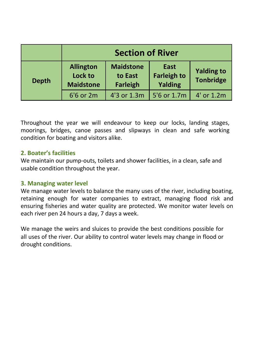|              | <b>Section of River</b>                         |                                                |                                       |                                       |
|--------------|-------------------------------------------------|------------------------------------------------|---------------------------------------|---------------------------------------|
| <b>Depth</b> | <b>Allington</b><br>Lock to<br><b>Maidstone</b> | <b>Maidstone</b><br>to East<br><b>Farleigh</b> | East<br><b>Farleigh to</b><br>Yalding | <b>Yalding to</b><br><b>Tonbridge</b> |
|              | 6'6 or 2m                                       | 4'3 or 1.3m                                    | 5'6 or 1.7m                           | 4' or 1.2m                            |

Throughout the year we will endeavour to keep our locks, landing stages, moorings, bridges, canoe passes and slipways in clean and safe working condition for boating and visitors alike.

#### **2. Boater's facilities**

We maintain our pump-outs, toilets and shower facilities, in a clean, safe and usable condition throughout the year.

#### **3. Managing water level**

We manage water levels to balance the many uses of the river, including boating, retaining enough for water companies to extract, managing flood risk and ensuring fisheries and water quality are protected. We monitor water levels on each river pen 24 hours a day, 7 days a week.

We manage the weirs and sluices to provide the best conditions possible for all uses of the river. Our ability to control water levels may change in flood or drought conditions.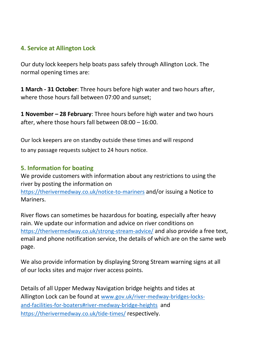#### **4. Service at Allington Lock**

Our duty lock keepers help boats pass safely through Allington Lock. The normal opening times are:

**1 March - 31 October**: Three hours before high water and two hours after, where those hours fall between 07:00 and sunset;

**1 November – 28 February**: Three hours before high water and two hours after, where those hours fall between 08:00 – 16:00.

Our lock keepers are on standby outside these times and will respond to any passage requests subject to 24 hours notice.

#### **5. Information for boating**

We provide customers with information about any restrictions to using the river by posting the information on <https://therivermedway.co.uk/notice-to-mariners> and/or issuing a Notice to Mariners.

River flows can sometimes be hazardous for boating, especially after heavy rain. We update our information and advice on river conditions on <https://therivermedway.co.uk/strong-stream-advice/> and also provide a free text, email and phone notification service, the details of which are on the same web page.

We also provide information by displaying Strong Stream warning signs at all of our locks sites and major river access points.

Details of all Upper Medway Navigation bridge heights and tides at Allington Lock can be found at [www.gov.uk/river-medway-bridges-locks](http://www.gov.uk/river-medway-bridges-locks-and-facilities-for-boaters#river-medway-bridge-heights)[and-facilities-for-boaters#river-medway-bridge-heights](http://www.gov.uk/river-medway-bridges-locks-and-facilities-for-boaters#river-medway-bridge-heights) and <https://therivermedway.co.uk/tide-times/> respectively.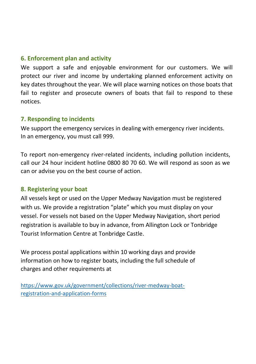#### **6. Enforcement plan and activity**

We support a safe and enjoyable environment for our customers. We will protect our river and income by undertaking planned enforcement activity on key dates throughout the year. We will place warning notices on those boats that fail to register and prosecute owners of boats that fail to respond to these notices.

#### **7. Responding to incidents**

We support the emergency services in dealing with emergency river incidents. In an emergency, you must call 999.

To report non-emergency river-related incidents, including pollution incidents, call our 24 hour incident hotline 0800 80 70 60. We will respond as soon as we can or advise you on the best course of action.

#### **8. Registering your boat**

All vessels kept or used on the Upper Medway Navigation must be registered with us. We provide a registration "plate" which you must display on your vessel. For vessels not based on the Upper Medway Navigation, short period registration is available to buy in advance, from Allington Lock or Tonbridge Tourist Information Centre at Tonbridge Castle.

We process postal applications within 10 working days and provide information on how to register boats, including the full schedule of charges and other requirements at

[https://www.gov.uk/government/collections/river-medway-boat](https://www.gov.uk/government/collections/river-medway-boat-registration-and-application-forms)[registration-and-application-forms](https://www.gov.uk/government/collections/river-medway-boat-registration-and-application-forms)